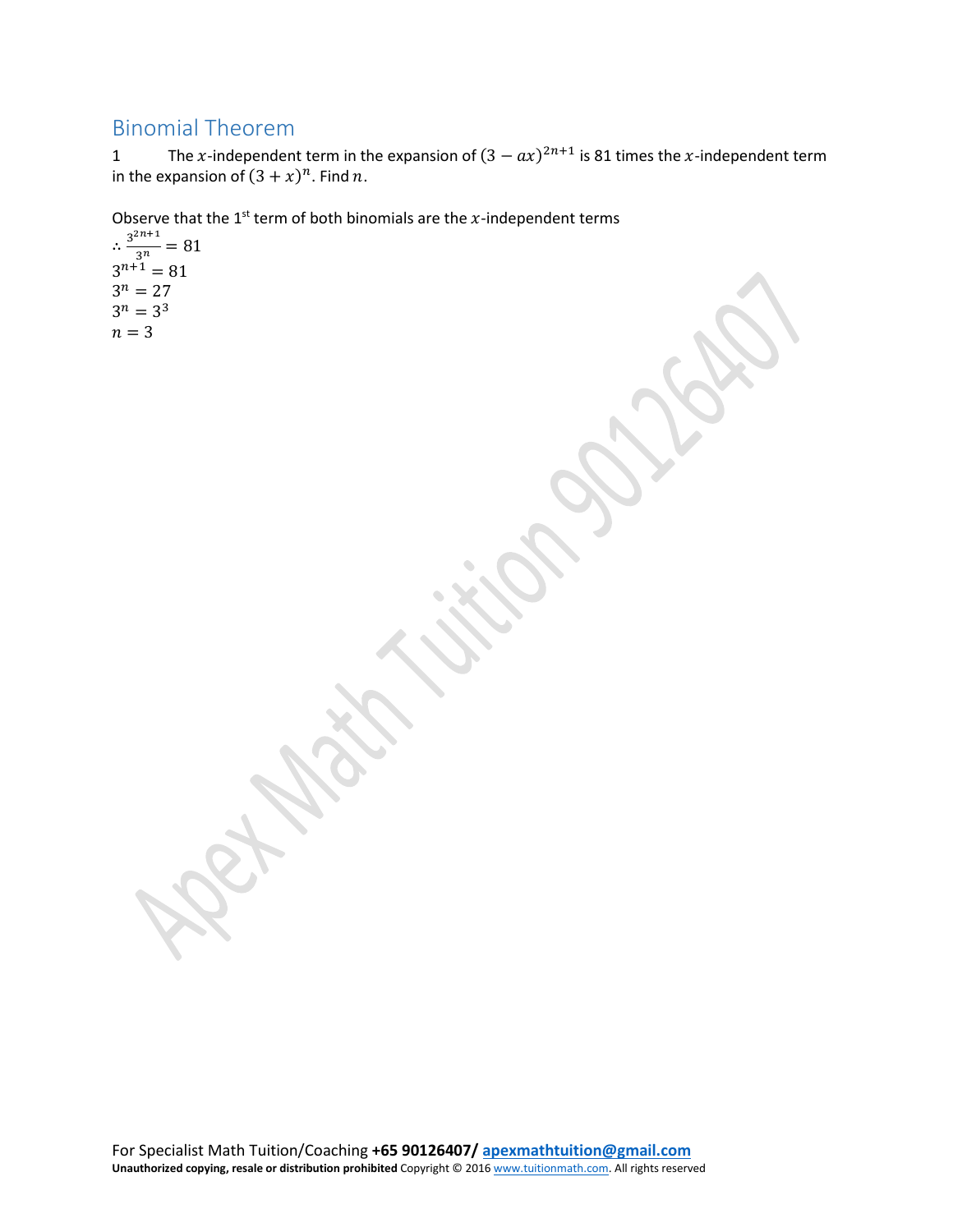## Binomial Theorem

1 The x-independent term in the expansion of  $(3 - ax)^{2n+1}$  is 81 times the x-independent term in the expansion of  $(3 + x)^n$ . Find *n*.

Observe that the 1<sup>st</sup> term of both binomials are the x-independent terms

 $\therefore \frac{3^{2n+1}}{3^n} = 81$  $3^{n+1} = 81$  $3^n = 27$  $3^n = 3^3$  $n = 3$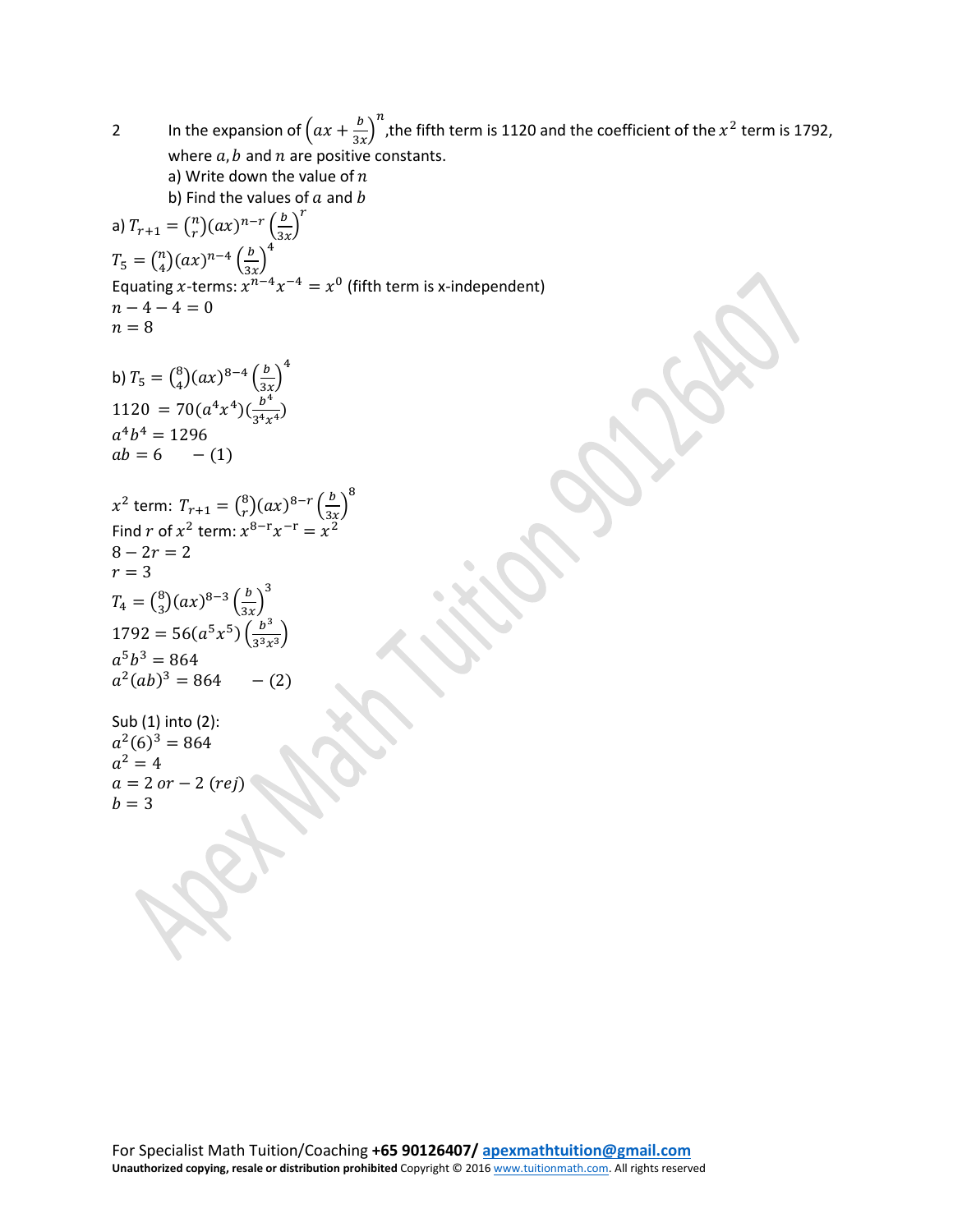2 In the expansion of  $(ax + \frac{b}{3x})$  $\frac{n}{\rho}$ ,the fifth term is 1120 and the coefficient of the  $x^2$  term is 1792, where  $a, b$  and  $n$  are positive constants. a) Write down the value of  $n$ b) Find the values of  $a$  and  $b$ a)  $T_{r+1} = {n \choose r} (ax)^{n-r} \left(\frac{b}{3x}\right)$  $\boldsymbol{r}$  $T_5 = {n \choose 4} (ax)^{n-4} \left(\frac{b}{3x}\right)$ Equating x-terms:  $x^{n-4}x^{-4} = x^0$  (fifth term is x-independent) 4  $n - 4 - 4 = 0$  $n = 8$ b)  $T_5 = {8 \choose 4} (ax)^{8-4} \left(\frac{b}{3x}\right)$ 4 1120 = 70( $a^4x^4$ )( $\frac{b^4}{3^4x^4}$ )  $a^4b^4 = 1296$  $ab = 6 - (1)$  $x^2$  term:  $T_{r+1} = {8 \choose r} (ax)^{8-r} \left(\frac{b}{3x}\right)$ 8 Find r of  $x^2$  term:  $x^{8-r}x^{-r} = x^2$  $8 - 2r = 2$  $r = 3$  $T_4 = \binom{8}{3} (ax)^{8-3} \left(\frac{b}{3x}\right)$  $1792 = 56(a^5x^5)\left(\frac{b^3}{3^3x^3}\right)$ 3  $a^5b^3 = 864$  $a^2(ab)^3 = 864 - (2)$ Sub (1) into (2):  $a^2(6)^3 = 864$  $a^2 = 4$  $a = 2$  or  $- 2$  (rej)  $b = 3$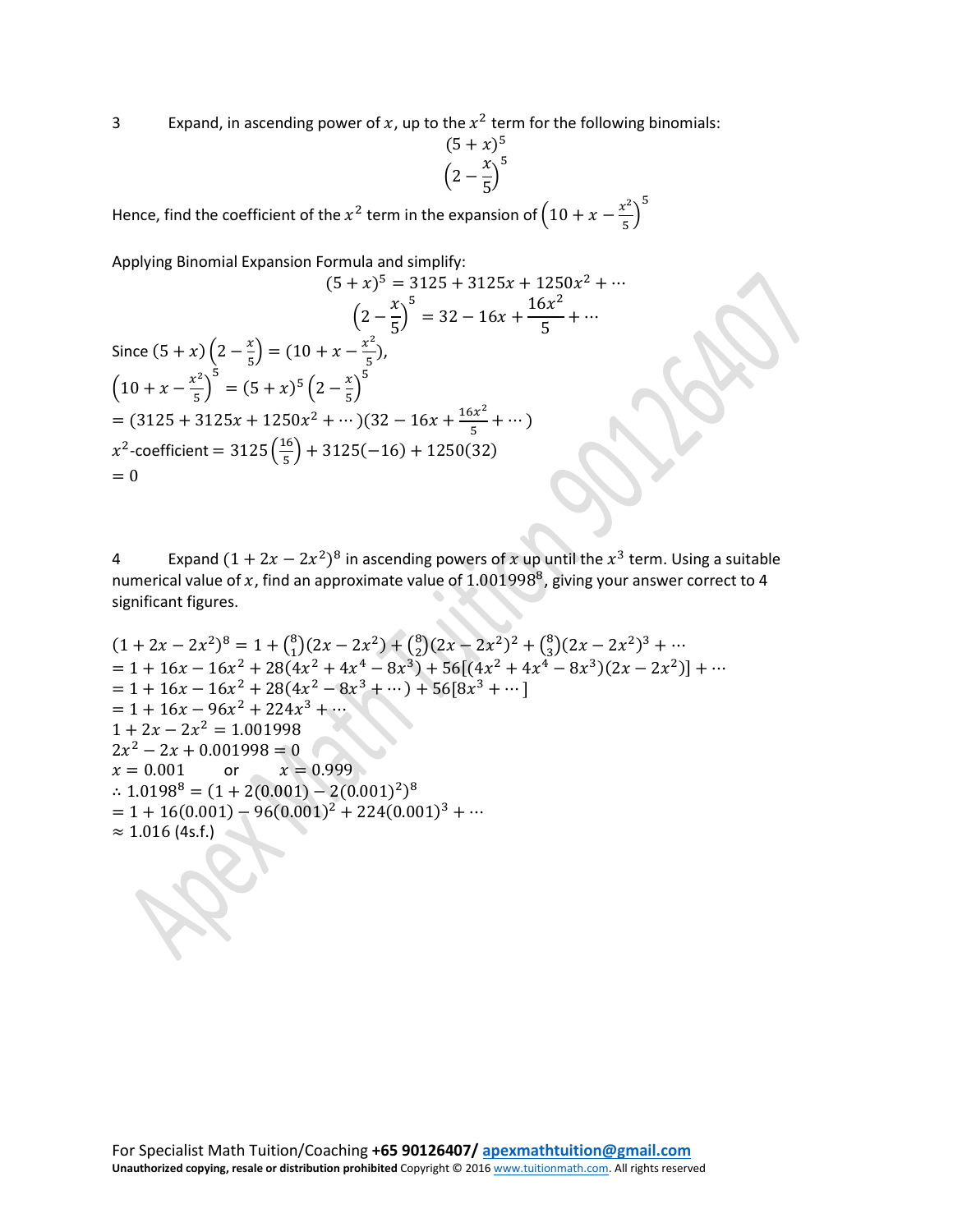3 Expand, in ascending power of x, up to the  $x^2$  term for the following binomials:

$$
\frac{(5+x)^5}{\left(2-\frac{x}{5}\right)^5}
$$

Hence, find the coefficient of the  $x^2$  term in the expansion of  $\left(10 + x - \frac{x^2}{5}\right)$ 5

Applying Binomial Expansion Formula and simplify:

$$
(5 + x)^5 = 3125 + 3125x + 1250x^2 + \cdots
$$
  
\n
$$
\left(2 - \frac{x}{5}\right)^5 = 32 - 16x + \frac{16x^2}{5} + \cdots
$$
  
\nSince  $(5 + x)\left(2 - \frac{x}{5}\right) = (10 + x - \frac{x^2}{5})$ ,  
\n
$$
\left(10 + x - \frac{x^2}{5}\right)^5 = (5 + x)^5 \left(2 - \frac{x}{5}\right)^5
$$
  
\n
$$
= (3125 + 3125x + 1250x^2 + \cdots)(32 - 16x + \frac{16x^2}{5} + \cdots)
$$
  
\n $x^2$ -coefficient = 3125  $\left(\frac{16}{5}\right)$  + 3125(-16) + 1250(32)  
\n
$$
= 0
$$

4 Expand  $(1 + 2x - 2x^2)^8$  in ascending powers of x up until the  $x^3$  term. Using a suitable numerical value of x, find an approximate value of  $1.001998^8$ , giving your answer correct to 4 significant figures.

$$
(1 + 2x - 2x2)8 = 1 + {8 \choose 1}(2x - 2x2) + {8 \choose 2}(2x - 2x2)2 + {8 \choose 3}(2x - 2x2)3 + \cdots
$$
  
= 1 + 16x - 16x<sup>2</sup> + 28(4x<sup>2</sup> + 4x<sup>4</sup> - 8x<sup>3</sup>) + 56[(4x<sup>2</sup> + 4x<sup>4</sup> - 8x<sup>3</sup>)(2x - 2x<sup>2</sup>)] + \cdots  
= 1 + 16x - 16x<sup>2</sup> + 28(4x<sup>2</sup> - 8x<sup>3</sup> + \cdots) + 56[8x<sup>3</sup> + \cdots]  
= 1 + 16x - 96x<sup>2</sup> + 224x<sup>3</sup> + \cdots  
1 + 2x - 2x<sup>2</sup> = 1.001998  
2x<sup>2</sup> - 2x + 0.001998 = 0  
x = 0.001 \t or \t x = 0.999  

$$
\therefore 1.01988 = (1 + 2(0.001) - 2(0.001)2)8
$$
  
= 1 + 16(0.001) - 96(0.001)<sup>2</sup> + 224(0.001)<sup>3</sup> + \cdots  

$$
\approx 1.016
$$
(4s.f.)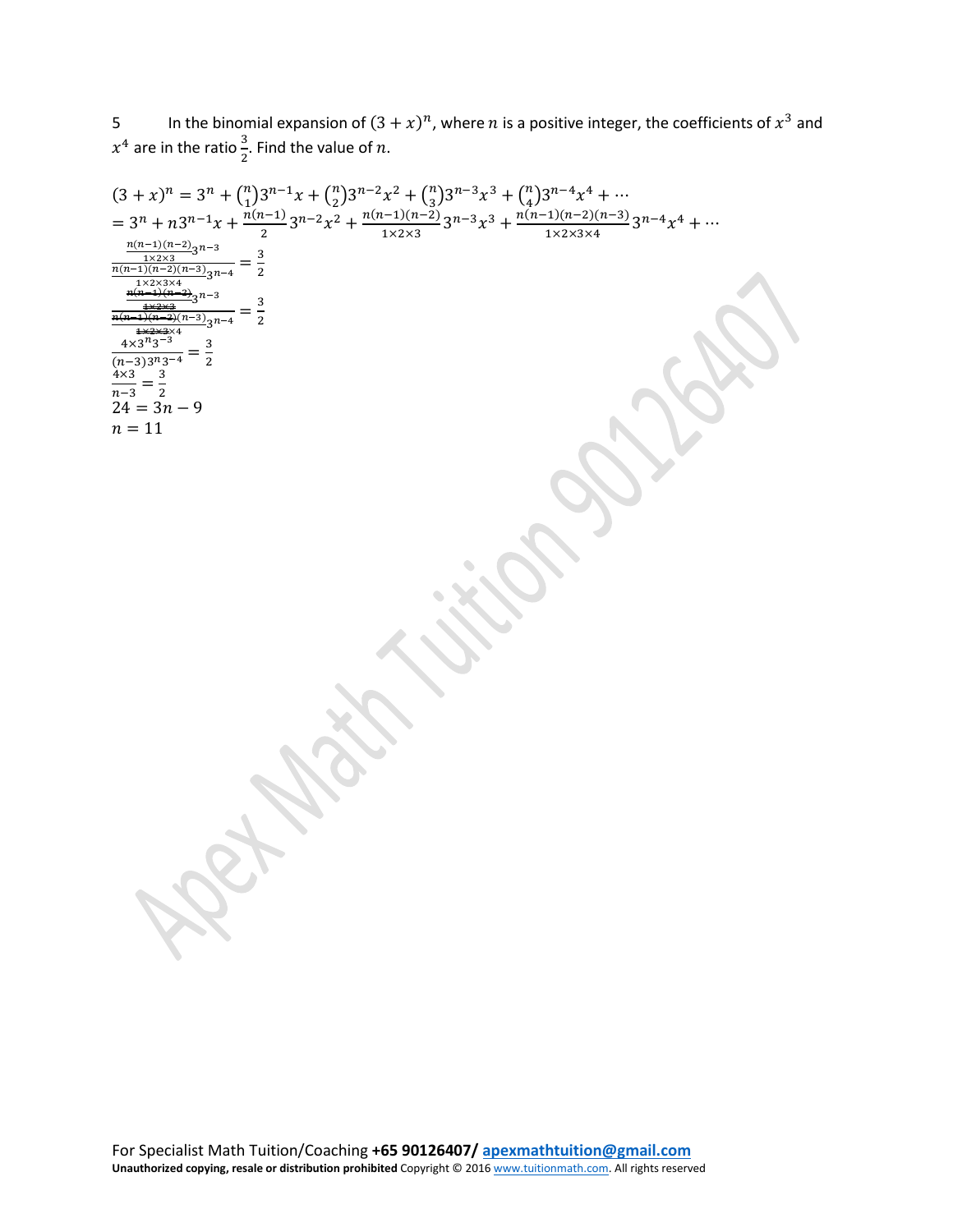5 In the binomial expansion of  $(3 + x)^n$ , where n is a positive integer, the coefficients of  $x^3$  and  $x^4$  are in the ratio  $\frac{3}{2}$ . Find the value of n.

$$
(3+x)^{n} = 3^{n} + {n \choose 1} 3^{n-1}x + {n \choose 2} 3^{n-2}x^{2} + {n \choose 3} 3^{n-3}x^{3} + {n \choose 4} 3^{n-4}x^{4} + \cdots
$$
\n
$$
= 3^{n} + n 3^{n-1}x + \frac{n(n-1)}{2}3^{n-2}x^{2} + \frac{n(n-1)(n-2)}{1 \times 2 \times 3}3^{n-3}x^{3} + \frac{n(n-1)(n-2)(n-3)}{1 \times 2 \times 3 \times 4}3^{n-4}x^{4} + \cdots
$$
\n
$$
\frac{n(n-1)(n-2)(n-3)}{2n-3n-3}x^{n-4}}{\frac{n(n-2)(n-2)(n-3)}{2n-3}x^{n-4}} = \frac{3}{2}
$$
\n
$$
\frac{\frac{n(n-2)(n-2)}{2n-2}3^{n-3}}{n-3} = \frac{3}{2}
$$
\n
$$
\frac{2(n-3)(n-3)}{n-3} = \frac{3}{2}
$$
\n
$$
\frac{2(n-3)(n-3)}{n-3} = \frac{3}{2}
$$
\n
$$
\frac{n+3}{2} = \frac{3}{2}
$$
\n
$$
\frac{n+3}{2} = \frac{3}{2}
$$
\n
$$
\frac{n+3}{2} = \frac{3}{2}
$$
\n
$$
\frac{n+3}{2} = \frac{3}{2}
$$
\n
$$
\frac{n+3}{2} = \frac{3}{2}
$$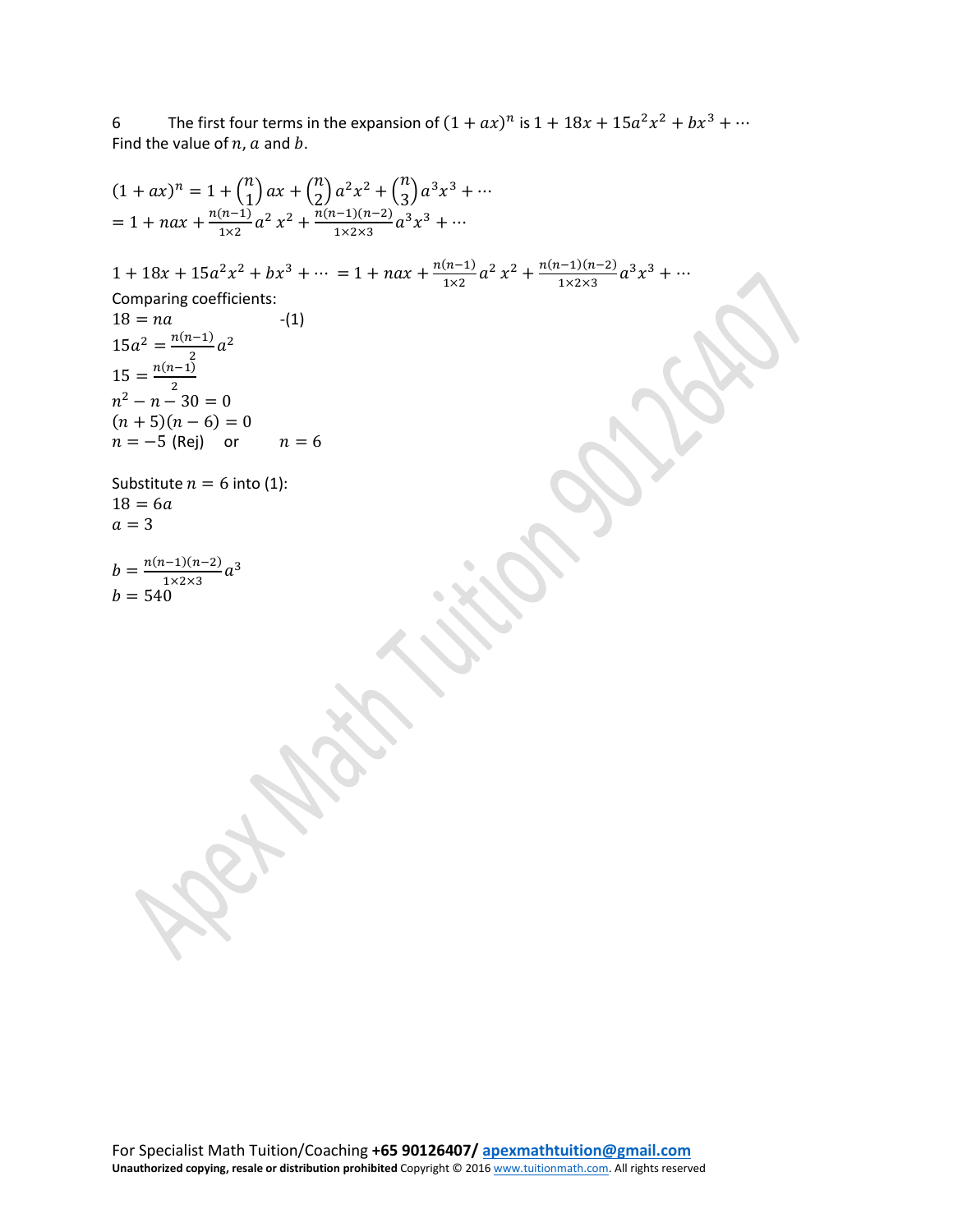6 The first four terms in the expansion of  $(1 + ax)^n$  is  $1 + 18x + 15a^2x^2 + bx^3 + \cdots$ Find the value of  $n$ ,  $a$  and  $b$ .

$$
(1 + ax)^{n} = 1 + {n \choose 1} ax + {n \choose 2} a^{2} x^{2} + {n \choose 3} a^{3} x^{3} + \cdots
$$
\n
$$
= 1 + nax + \frac{n(n-1)}{1x^{2}} a^{2} x^{2} + \frac{n(n-1)(n-2)}{1x^{2x^{3}}} a^{3} x^{3} + \cdots
$$
\n
$$
1 + 18x + 15a^{2} x^{2} + bx^{3} + \cdots = 1 + nax + \frac{n(n-1)}{1x^{2}} a^{2} x^{2} + \frac{n(n-1)(n-2)}{1x^{2x^{3}}} a^{3} x^{3} + \cdots
$$
\n
$$
18 = na
$$
\n
$$
15 = \frac{n(n-1)}{2}
$$
\n
$$
15 = \frac{n(n-1)}{2}
$$
\n
$$
(n+5)(n-6) = 0
$$
\n
$$
n = -5 \text{ (Rej) or } n = 6
$$
\nSubstitute  $n = 6$  into (1):  
\n
$$
18 = 6a
$$
\n
$$
a = 3
$$
\n
$$
b = \frac{n(n-1)(n-2)}{1x^{2x^{3}}} a^{3}
$$
\n
$$
b = 540
$$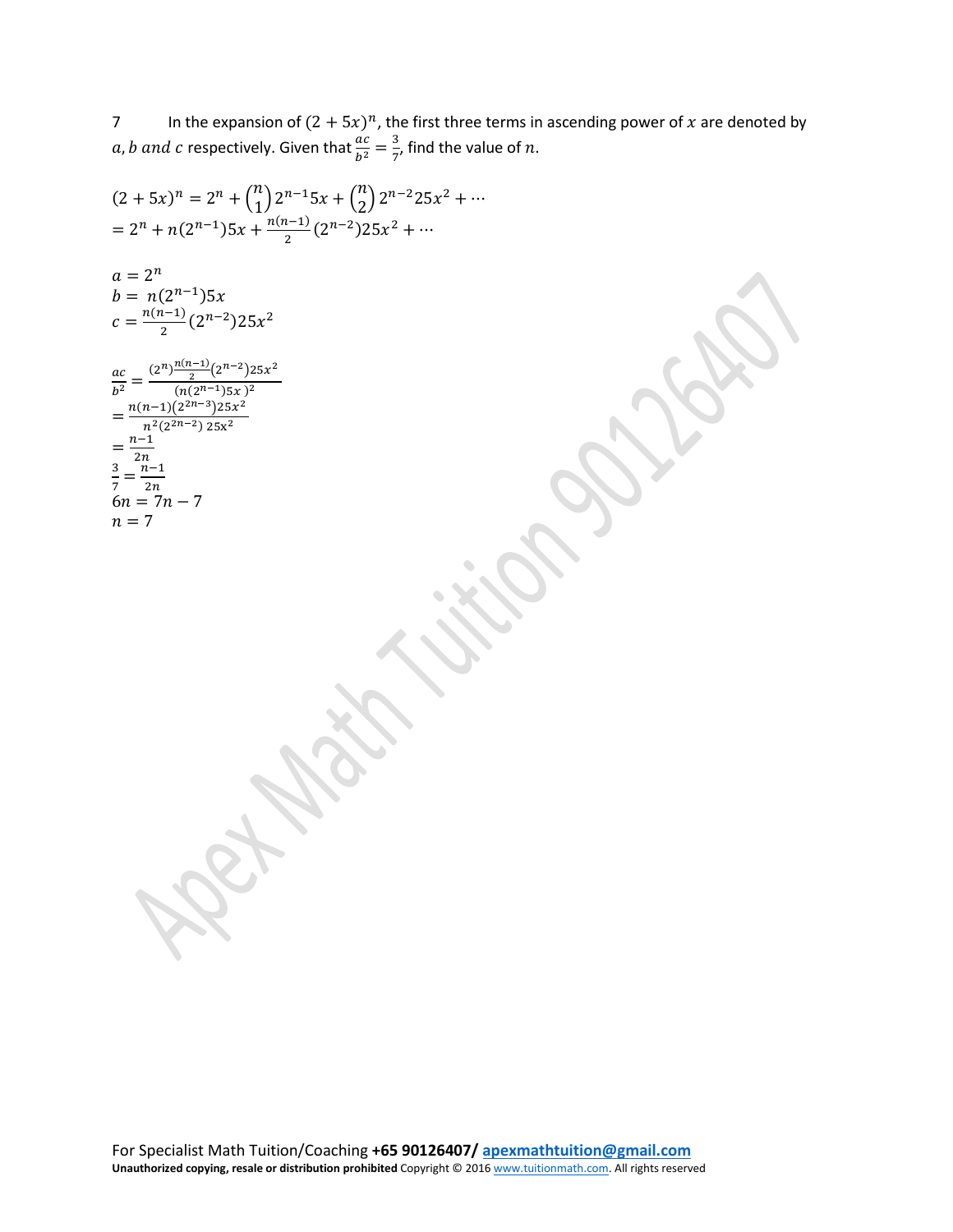7 In the expansion of  $(2 + 5x)^n$ , the first three terms in ascending power of x are denoted by *a, b and c* respectively. Given that  $\frac{ac}{b^2} = \frac{3}{7}$ , find the value of *n*.

$$
(2+5x)^n = 2^n + {n \choose 1} 2^{n-1}5x + {n \choose 2} 2^{n-2}25x^2 + \cdots
$$
\n
$$
= 2^n + n(2^{n-1})5x + \frac{n(n-1)}{2}(2^{n-2})25x^2 + \cdots
$$
\n
$$
a = 2^n
$$
\n
$$
b = n(2^{n-1})5x
$$
\n
$$
c = \frac{n(n-1)}{2}(2^{n-2})25x^2
$$
\n
$$
\frac{ac}{b^2} = \frac{(2^n)^{\frac{n(n-1)}{2}(2^{n-2})25x^2}}{\frac{n(n-1)(2^{2n-3})25x^2}{n^2}} = \frac{n(n-1)(2^{2n-3})25x^2}{n^2}
$$
\n
$$
a = 2^n
$$
\n
$$
a = \frac{(n-1)(2^{2n-3})25x^2}{(n(2^{2n-3})25x^2)}
$$
\n
$$
a = \frac{n-1}{2n}
$$
\n
$$
a = 2^n
$$
\n
$$
a = 2^n
$$
\n
$$
a = 2^n
$$
\n
$$
a = 2^n
$$
\n
$$
a = 2^n
$$
\n
$$
a = 2^n
$$
\n
$$
a = 2^n
$$
\n
$$
a = 2^n
$$
\n
$$
a = 2^n
$$
\n
$$
a = 2^n
$$
\n
$$
a = 2^n
$$
\n
$$
a = 2^n
$$
\n
$$
a = 2^n
$$
\n
$$
a = 2^n
$$
\n
$$
a = 2^n
$$
\n
$$
a = 2^n
$$
\n
$$
a = 2^n
$$
\n
$$
a = 2^n
$$
\n
$$
a = 2^n
$$
\n
$$
a = 2^n
$$
\n
$$
a = 2^n
$$
\n
$$
a = 2^n
$$
\n
$$
a = 2^n
$$
\n
$$
a = 2^n
$$
\n
$$
a = 2^n
$$
\n
$$
a = 2^n
$$
\n
$$
a = 2^n
$$
\n<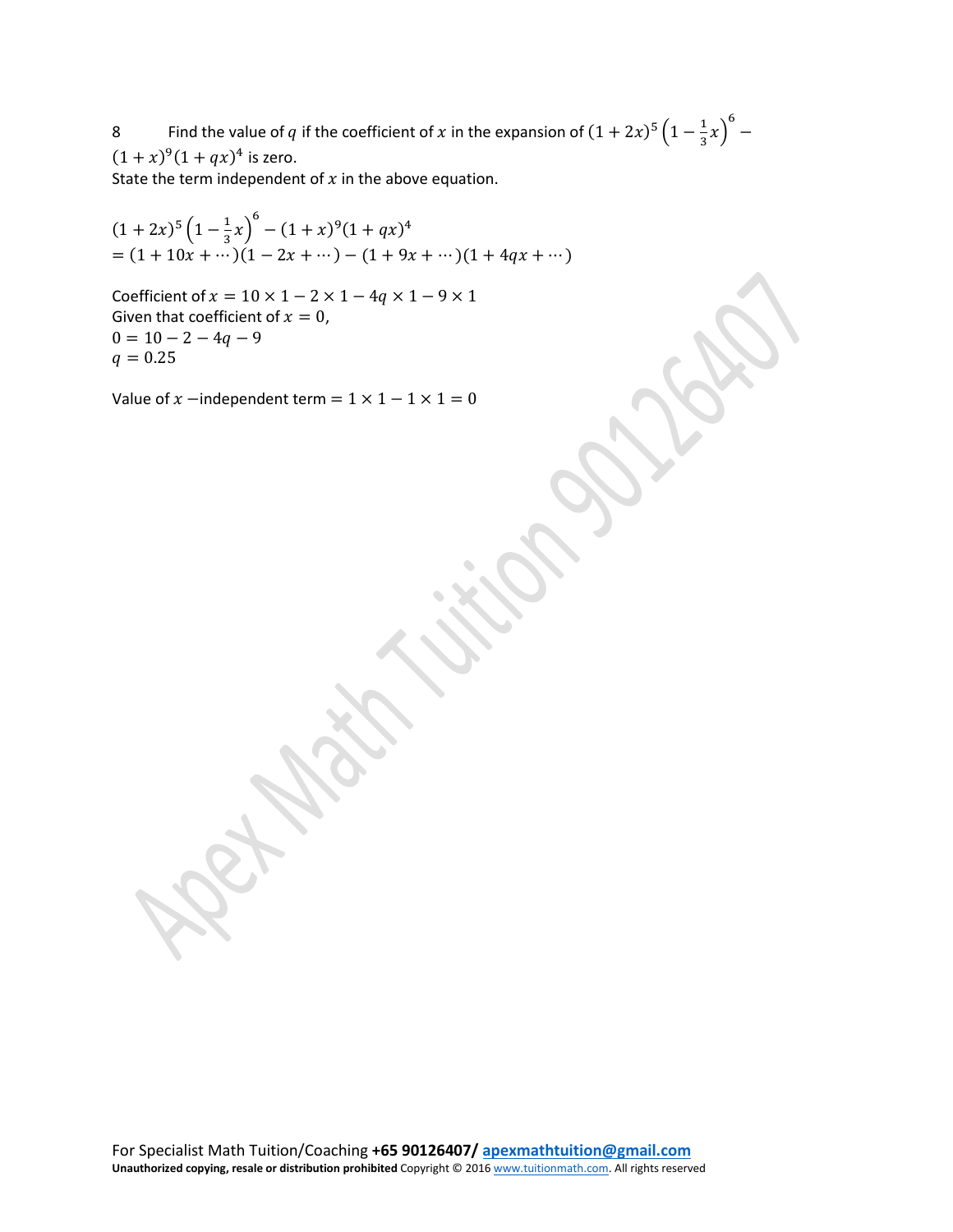8 Find the value of q if the coefficient of x in the expansion of  $(1 + 2x)^5 (1 - \frac{1}{3}x)$ 6 −  $(1 + x)^9 (1 + qx)^4$  is zero.

State the term independent of  $x$  in the above equation.

 $(1 + 2x)^5 \left(1 - \frac{1}{3}x\right)$  $^{6}$  –  $(1+x)^{9}(1+qx)^{4}$  $= (1 + 10x + \dots)(1 - 2x + \dots) - (1 + 9x + \dots)(1 + 4qx + \dots)$ 

Coefficient of  $x = 10 \times 1 - 2 \times 1 - 4q \times 1 - 9 \times 1$ Given that coefficient of  $x = 0$ ,  $0 = 10 - 2 - 4q - 9$  $q = 0.25$ 

Value of  $x$  –independent term =  $1 \times 1 - 1 \times 1 = 0$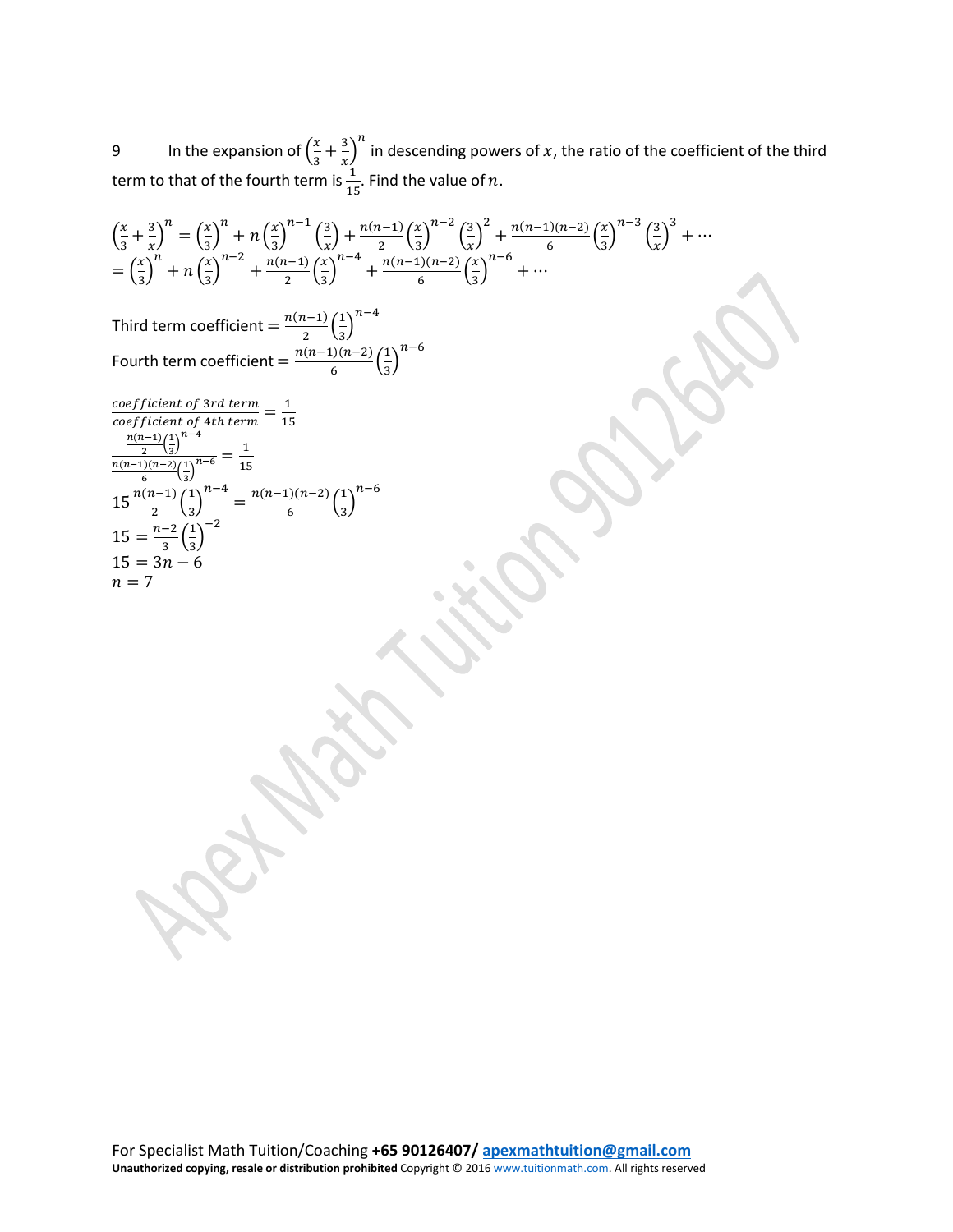9 In the expansion of  $\left(\frac{x}{3}\right)$  $\frac{x}{3} + \frac{3}{x}$  $\frac{n}{n}$  in descending powers of  $x$ , the ratio of the coefficient of the third term to that of the fourth term is  $\frac{1}{15}$ . Find the value of n.

$$
\left(\frac{x}{3} + \frac{3}{x}\right)^n = \left(\frac{x}{3}\right)^n + n\left(\frac{x}{3}\right)^{n-1}\left(\frac{3}{x}\right) + \frac{n(n-1)}{2}\left(\frac{x}{3}\right)^{n-2}\left(\frac{3}{x}\right)^2 + \frac{n(n-1)(n-2)}{6}\left(\frac{x}{3}\right)^{n-3}\left(\frac{3}{x}\right)^3 + \cdots
$$
\n
$$
= \left(\frac{x}{3}\right)^n + n\left(\frac{x}{3}\right)^{n-2} + \frac{n(n-1)}{2}\left(\frac{x}{3}\right)^{n-4} + \frac{n(n-1)(n-2)}{6}\left(\frac{x}{3}\right)^{n-6} + \cdots
$$
\nThird term coefficient = 
$$
\frac{n(n-1)}{2}\left(\frac{1}{3}\right)^{n-4}
$$
\nFourth term coefficient = 
$$
\frac{n(n-1)(n-2)}{6}\left(\frac{1}{3}\right)^{n-6}
$$
\n
$$
\frac{coefficient \ of \ 3rd \ term}{of \ 3rd \ term} = \frac{1}{15}
$$
\n
$$
\frac{n(n-1)}{2}\left(\frac{1}{3}\right)^{n-4} = \frac{1}{15}
$$
\n
$$
\frac{n(n-1)}{2}\left(\frac{1}{3}\right)^{n-4} = \frac{n(n-1)(n-2)}{6}\left(\frac{1}{3}\right)^{n-6}
$$
\n
$$
15 = \frac{n-2}{3}\left(\frac{1}{3}\right)^{-2}
$$
\n
$$
15 = 3n - 6
$$
\n
$$
n = 7
$$